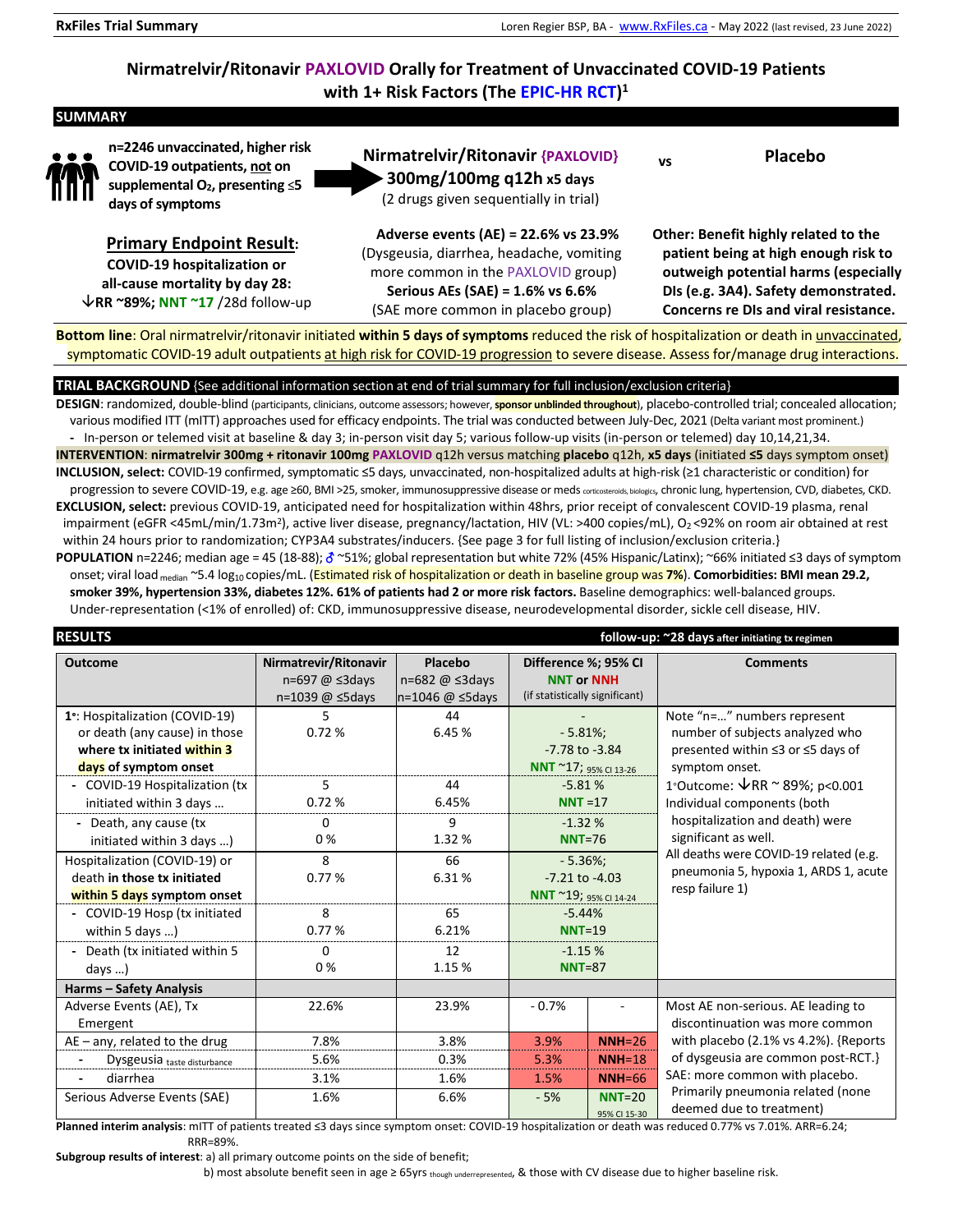# **Nirmatrelvir/Ritonavir PAXLOVID Orally for Treatment of Unvaccinated COVID-19 Patients with 1+ Risk Factors (The EPIC-HR RCT) 1**

# **SUMMARY**



**n=2246 unvaccinated, higher risk COVID-19 outpatients, not on supplemental O2, presenting** ≤**5 days of symptoms** 

**Primary Endpoint Result: COVID-19 hospitalization or all-cause mortality by day 28: RR ~89%; NNT ~17** /28d follow-up **Nirmatrelvir/Ritonavir {PAXLOVID} 300mg/100mg q12h x5 days**  (2 drugs given sequentially in trial) **vs Placebo** 

**Adverse events (AE) = 22.6% vs 23.9%**  (Dysgeusia, diarrhea, headache, vomiting more common in the PAXLOVID group) **Serious AEs (SAE) = 1.6% vs 6.6%**  (SAE more common in placebo group)

**Other: Benefit highly related to the patient being at high enough risk to outweigh potential harms (especially DIs (e.g. 3A4). Safety demonstrated. Concerns re DIs and viral resistance.**

**Bottom line**: Oral nirmatrelvir/ritonavir initiated **within 5 days of symptoms** reduced the risk of hospitalization or death in unvaccinated, symptomatic COVID-19 adult outpatients at high risk for COVID-19 progression to severe disease. Assess for/manage drug interactions.

# **TRIAL BACKGROUND** {See additional information section at end of trial summary for full inclusion/exclusion criteria}

**DESIGN**: randomized, double-blind (participants, clinicians, outcome assessors; however, **sponsor unblinded throughout**), placebo-controlled trial; concealed allocation; various modified ITT (mITT) approaches used for efficacy endpoints. The trial was conducted between July-Dec, 2021 (Delta variant most prominent.) **-** In-person or telemed visit at baseline & day 3; in-person visit day 5; various follow-up visits (in-person or telemed) day 10,14,21,34. **INTERVENTION**: **nirmatrelvir 300mg + ritonavir 100mg PAXLOVID** q12h versus matching **placebo** q12h, **x5 days** (initiated **≤5** days symptom onset) **INCLUSION, select:** COVID-19 confirmed, symptomatic ≤5 days, unvaccinated, non-hospitalized adults at high-risk (≥1 characteristic or condition) for progression to severe COVID-19, e.g. age ≥60, BMI >25, smoker, immunosuppressive disease or meds corticosteroids, biologics, chronic lung, hypertension, CVD, diabetes, CKD. **EXCLUSION, select:** previous COVID-19, anticipated need for hospitalization within 48hrs, prior receipt of convalescent COVID-19 plasma, renal impairment (eGFR <45mL/min/1.73m<sup>2</sup>), active liver disease, pregnancy/lactation, HIV (VL: >400 copies/mL), O<sub>2</sub> <92% on room air obtained at rest within 24 hours prior to randomization; CYP3A4 substrates/inducers. {See page 3 for full listing of inclusion/exclusion criteria.} **POPULATION** n=2246; median age = 45 (18-88); ♂ ~51%; global representation but white 72% (45% Hispanic/Latinx); ~66% initiated ≤3 days of symptom onset; viral load median ~5.4 log10 copies/mL. (Estimated risk of hospitalization or death in baseline group was **7%**). **Comorbidities: BMI mean 29.2, smoker 39%, hypertension 33%, diabetes 12%. 61% of patients had 2 or more risk factors.** Baseline demographics: well-balanced groups.

Under-representation (<1% of enrolled) of: CKD, immunosuppressive disease, neurodevelopmental disorder, sickle cell disease, HIV.

**RESULTS follow-up: ~28 days after initiating tx regimen Outcome Nirmatrevir/Ritonavir** n=697 @ ≤3days n=1039 @ ≤5days **Placebo**  n=682 @ ≤3days n=1046 @ ≤5days **Difference %; 95% CI NNT or NNH** (if statistically significant) **Comments 1**∘ : Hospitalization (COVID-19) or death (any cause) in those **where tx initiated within 3 days of symptom onset** 5 0.72 % 44 6.45 % - - 5.81%; -7.78 to -3.84 **NNT** ~17; 95% CI 13-26 Note "n=…" numbers represent number of subjects analyzed who presented within ≤3 or ≤5 days of symptom onset. 1∘Outcome: VRR ~ 89%; p<0.001 Individual components (both hospitalization and death) were significant as well. All deaths were COVID-19 related (e.g. pneumonia 5, hypoxia 1, ARDS 1, acute resp failure 1) **-** COVID-19 Hospitalization (tx initiated within 3 days … 5 0.72 % 44 6.45% -5.81 % **NNT** =17 **-** Death, any cause (tx initiated within 3 days …)  $\Omega$ 0 % 9 1.32 % -1.32 % **NNT**=76 Hospitalization (COVID-19) or death **in those tx initiated within 5 days symptom onset** 8 0.77 % 66 6.31 % - 5.36%; -7.21 to -4.03 **NNT** ~19; 95% CI 14-24 **-** COVID-19 Hosp (tx initiated within 5 days …) 8 0.77 % 65 6.21% -5.44% **NNT**=19 **-** Death (tx initiated within 5 days …)  $\Omega$ 0 % 12 1.15 % -1.15 % **NNT**=87 **Harms – Safety Analysis**  Adverse Events (AE), Tx Emergent 22.6% 23.9% - 0.7% - Most AE non-serious. AE leading to discontinuation was more common with placebo (2.1% vs 4.2%). {Reports of dysgeusia are common post-RCT.} SAE: more common with placebo. Primarily pneumonia related (none deemed due to treatment) AE – any, related to the drug  $\begin{vmatrix} 1 & 3.8\% & 3.9\% \end{vmatrix}$  3.9% **NNH**=26 **Dysgeusia** taste disturbance **1** 5.6% **1** 0.3% 5.3% **NNH**=18 **-** diarrhea 3.1% 1.6% 1.5% **NNH**=66 Serious Adverse Events (SAE)  $\vert$  1.6%  $\vert$  6.6%  $\vert$  - 5% **NNT**=20 95% CI 15-30

**Planned interim analysis**: mITT of patients treated ≤3 days since symptom onset: COVID-19 hospitalization or death was reduced 0.77% vs 7.01%. ARR=6.24; RRR=89%.

**Subgroup results of interest**: a) all primary outcome points on the side of benefit;

b) most absolute benefit seen in age ≥ 65yrs though underrepresented, & those with CV disease due to higher baseline risk.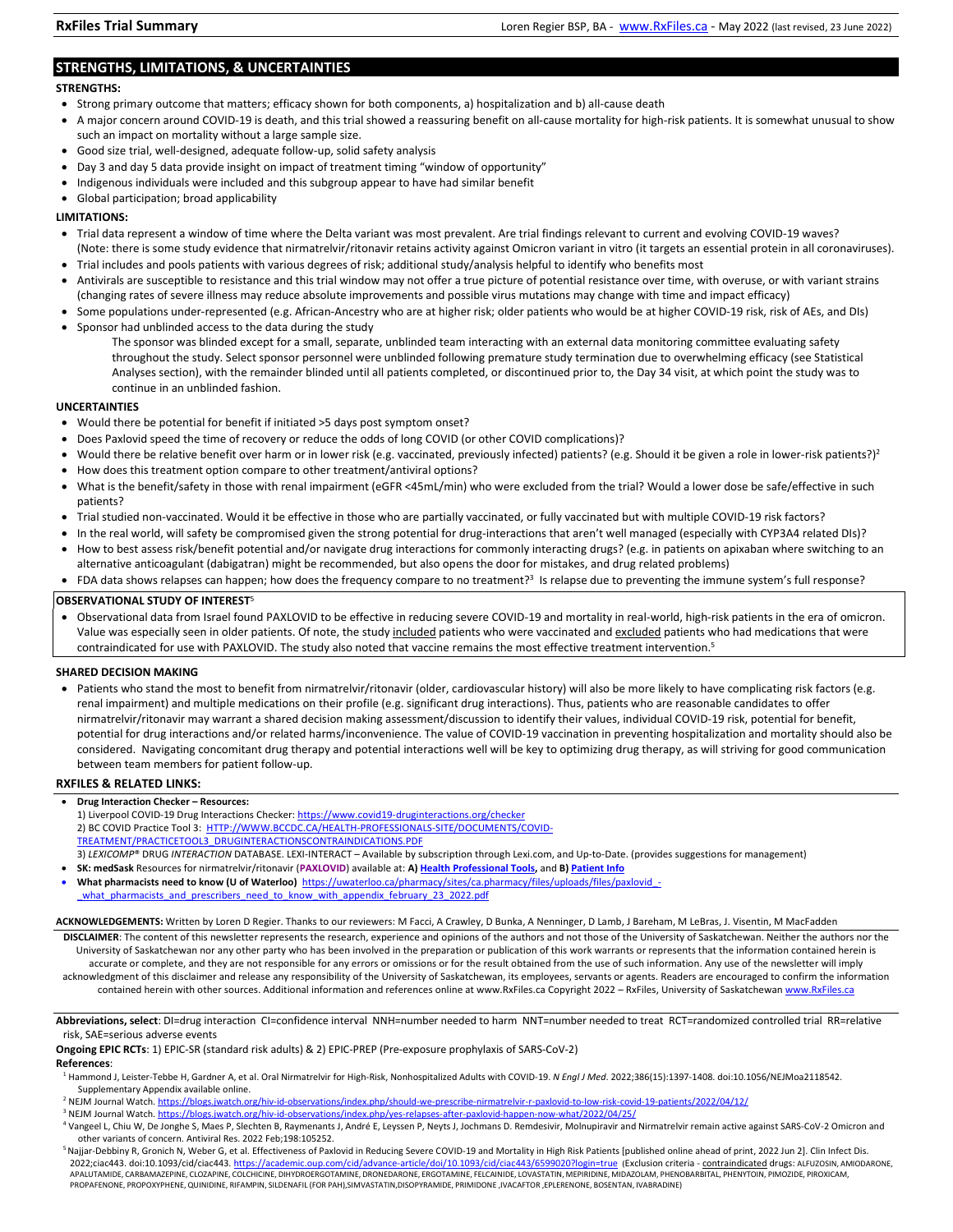# **STRENGTHS, LIMITATIONS, & UNCERTAINTIES**

### **STRENGTHS:**

- Strong primary outcome that matters; efficacy shown for both components, a) hospitalization and b) all-cause death
- A major concern around COVID-19 is death, and this trial showed a reassuring benefit on all-cause mortality for high-risk patients. It is somewhat unusual to show such an impact on mortality without a large sample size.
- Good size trial, well-designed, adequate follow-up, solid safety analysis
- Day 3 and day 5 data provide insight on impact of treatment timing "window of opportunity"
- Indigenous individuals were included and this subgroup appear to have had similar benefit
- Global participation; broad applicability

#### **LIMITATIONS:**

- Trial data represent a window of time where the Delta variant was most prevalent. Are trial findings relevant to current and evolving COVID-19 waves? (Note: there is some study evidence that nirmatrelvir/ritonavir retains activity against Omicron variant in vitro (it targets an essential protein in all coronaviruses).
- Trial includes and pools patients with various degrees of risk; additional study/analysis helpful to identify who benefits most
- Antivirals are susceptible to resistance and this trial window may not offer a true picture of potential resistance over time, with overuse, or with variant strains (changing rates of severe illness may reduce absolute improvements and possible virus mutations may change with time and impact efficacy)
- Some populations under-represented (e.g. African-Ancestry who are at higher risk; older patients who would be at higher COVID-19 risk, risk of AEs, and DIs)
- Sponsor had unblinded access to the data during the study
	- The sponsor was blinded except for a small, separate, unblinded team interacting with an external data monitoring committee evaluating safety throughout the study. Select sponsor personnel were unblinded following premature study termination due to overwhelming efficacy (see Statistical Analyses section), with the remainder blinded until all patients completed, or discontinued prior to, the Day 34 visit, at which point the study was to continue in an unblinded fashion.

#### **UNCERTAINTIES**

- Would there be potential for benefit if initiated >5 days post symptom onset?
- Does Paxlovid speed the time of recovery or reduce the odds of long COVID (or other COVID complications)?
- Would there be relative benefit over harm or in lower risk (e.g. vaccinated, previously infected) patients? (e.g. Should it be given a role in lower-risk patients?)<sup>2</sup>
- How does this treatment option compare to other treatment/antiviral options?
- What is the benefit/safety in those with renal impairment (eGFR <45mL/min) who were excluded from the trial? Would a lower dose be safe/effective in such patients?
- Trial studied non-vaccinated. Would it be effective in those who are partially vaccinated, or fully vaccinated but with multiple COVID-19 risk factors?
- In the real world, will safety be compromised given the strong potential for drug-interactions that aren't well managed (especially with CYP3A4 related DIs)?
- How to best assess risk/benefit potential and/or navigate drug interactions for commonly interacting drugs? (e.g. in patients on apixaban where switching to an alternative anticoagulant (dabigatran) might be recommended, but also opens the door for mistakes, and drug related problems)
- FDA data shows relapses can happen; how does the frequency compare to no treatment?<sup>3</sup> Is relapse due to preventing the immune system's full response?

#### **OBSERVATIONAL STUDY OF INTEREST**<sup>5</sup>

 Observational data from Israel found PAXLOVID to be effective in reducing severe COVID-19 and mortality in real-world, high-risk patients in the era of omicron. Value was especially seen in older patients. Of note, the study included patients who were vaccinated and excluded patients who had medications that were contraindicated for use with PAXLOVID. The study also noted that vaccine remains the most effective treatment intervention.<sup>5</sup>

### **SHARED DECISION MAKING**

 Patients who stand the most to benefit from nirmatrelvir/ritonavir (older, cardiovascular history) will also be more likely to have complicating risk factors (e.g. renal impairment) and multiple medications on their profile (e.g. significant drug interactions). Thus, patients who are reasonable candidates to offer nirmatrelvir/ritonavir may warrant a shared decision making assessment/discussion to identify their values, individual COVID-19 risk, potential for benefit, potential for drug interactions and/or related harms/inconvenience. The value of COVID-19 vaccination in preventing hospitalization and mortality should also be considered. Navigating concomitant drug therapy and potential interactions well will be key to optimizing drug therapy, as will striving for good communication between team members for patient follow-up.

### **RXFILES & RELATED LINKS:**

- **Drug Interaction Checker Resources:**
- 1) Liverpool COVID-19 Drug Interactions Checker[: https://www.covid19-druginteractions.org/checker](https://www.covid19-druginteractions.org/checker) 2) BC COVID Practice Tool 3: [HTTP://WWW.BCCDC.CA/HEALTH-PROFESSIONALS-SITE/DOCUMENTS/COVID-](http://www.bccdc.ca/Health-Professionals-Site/Documents/COVID-treatment/PracticeTool3_DrugInteractionsContraindications.pdf)[TREATMENT/PRACTICETOOL3\\_DRUGINTERACTIONSCONTRAINDICATIONS.PDF](http://www.bccdc.ca/Health-Professionals-Site/Documents/COVID-treatment/PracticeTool3_DrugInteractionsContraindications.pdf)
- 3) *LEXICOMP*® DRUG *INTERACTION* DATABASE. LEXI-INTERACT Available by subscription through Lexi.com, and Up-to-Date. (provides suggestions for management) **SK: medSask** Resources for nirmatrelvir/ritonavir (**PAXLOVID**) available at: **A[\) Health Professional Tools,](https://medsask.usask.ca/professional-practice/paxlovid-hcp/prescribing-paxlovid-for-covid-19.php)** and **B[\) Patient Info](https://medsask.usask.ca/covid-19-info/paxlovid.php)**
- What pharmacists need to know (U of Waterloo) https://uwaterloo.ca/pharmacy/sites/ca.pharmacy/files/uploads/files/paxlovid what pharmacists and prescribers need to know with appendix february 23 2022.pdf
- **ACKNOWLEDGEMENTS:** Written by Loren D Regier. Thanks to our reviewers: M Facci, A Crawley, D Bunka, A Nenninger, D Lamb, J Bareham, M LeBras, J. Visentin, M MacFadden
- **DISCLAIMER**: The content of this newsletter represents the research, experience and opinions of the authors and not those of the University of Saskatchewan. Neither the authors nor the University of Saskatchewan nor any other party who has been involved in the preparation or publication of this work warrants or represents that the information contained herein is accurate or complete, and they are not responsible for any errors or omissions or for the result obtained from the use of such information. Any use of the newsletter will imply acknowledgment of this disclaimer and release any responsibility of the University of Saskatchewan, its employees, servants or agents. Readers are encouraged to confirm the information contained herein with other sources. Additional information and references online at www.RxFiles.ca Copyright 2022 - RxFiles, University of Saskatchewa[n www.RxFiles.ca](http://www.rxfiles.ca/)

**Abbreviations, select**: DI=drug interaction CI=confidence interval NNH=number needed to harm NNT=number needed to treat RCT=randomized controlled trial RR=relative risk, SAE=serious adverse events

#### **Ongoing EPIC RCTs**: 1) EPIC-SR (standard risk adults) & 2) EPIC-PREP (Pre-exposure prophylaxis of SARS-CoV-2)

### **References**:

- 1 Hammond J, Leister-Tebbe H, Gardner A, et al. Oral Nirmatrelvir for High-Risk, Nonhospitalized Adults with COVID-19. *N Engl J Med*. 2022;386(15):1397-1408. doi:10.1056/NEJMoa2118542. Supplementary Appendix available online.
- <sup>2</sup> NEJM Journal Watch[. https://blogs.jwatch.org/hiv-id-observations/index.php/should-we-prescribe-nirmatrelvir-r-paxlovid-to-low-risk-covid-19-patients/2022/04/12/](https://blogs.jwatch.org/hiv-id-observations/index.php/should-we-prescribe-nirmatrelvir-r-paxlovid-to-low-risk-covid-19-patients/2022/04/12/)
- <sup>3</sup> NEJM Journal Watch[. https://blogs.jwatch.org/hiv-id-observations/index.php/yes-relapses-after-paxlovid-happen-now-what/2022/04/25/](https://blogs.jwatch.org/hiv-id-observations/index.php/yes-relapses-after-paxlovid-happen-now-what/2022/04/25/)
- 4 Vangeel L, Chiu W, De Jonghe S, Maes P, Slechten B, Raymenants J, André E, Leyssen P, Neyts J, Jochmans D. Remdesivir, Molnupiravir and Nirmatrelvir remain active against SARS-CoV-2 Omicron and other variants of concern. Antiviral Res. 2022 Feb;198:105252.
- <sup>5</sup>Najjar-Debbiny R, Gronich N, Weber G, et al. Effectiveness of Paxlovid in Reducing Severe COVID-19 and Mortality in High Risk Patients [published online ahead of print, 2022 Jun 2]. Clin Infect Dis. 2022;ciac443. doi:10.1093/cid/ciac443[. https://academic.oup.com/cid/advance-article/doi/10.1093/cid/ciac443/6599020?login=true](https://academic.oup.com/cid/advance-article/doi/10.1093/cid/ciac443/6599020?login=true) (Exclusion criteria - contraindicated drugs: ALFUZOSIN, AMIODARONE, APALUTAMIDE, CARBAMAZEPINE, CLOZAPINE, COLCHICINE, DIHYDROERGOTAMINE, DRONEDARONE, ERGOTAMINE, FELCAINIDE, LOVASTATIN, MEPIRIDINE, MIDAZOLAM, PHENOBARBITAL, PHENYTOIN, PIMOZIDE, PIROXICAM, PROPAFENONE, PROPOXYPHENE, QUINIDINE, RIFAMPIN, SILDENAFIL (FOR PAH),SIMVASTATIN,DISOPYRAMIDE, PRIMIDONE ,IVACAFTOR ,EPLERENONE, BOSENTAN, IVABRADINE)